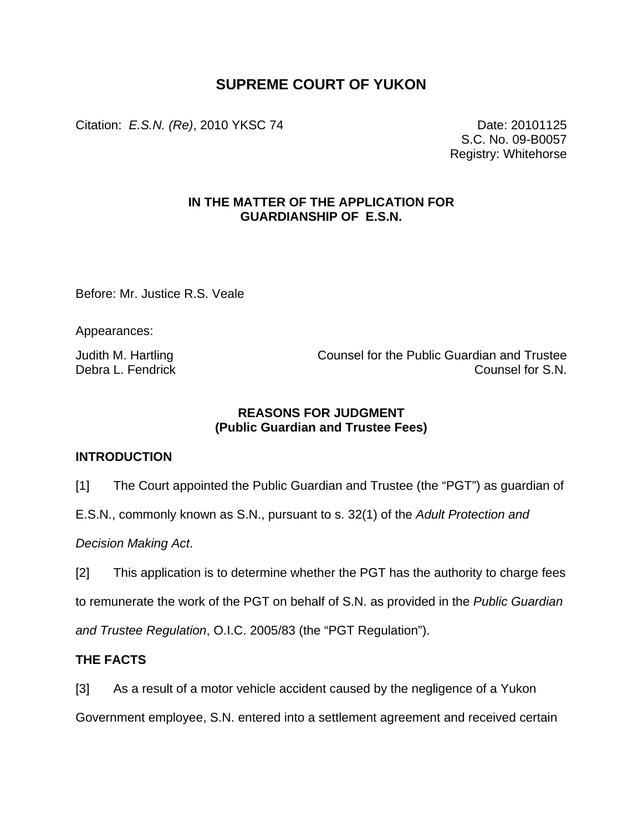# **SUPREME COURT OF YUKON**

Citation: *E.S.N. (Re)*, 2010 YKSC 74 Date: 20101125

S.C. No. 09-B0057 Registry: Whitehorse

#### **IN THE MATTER OF THE APPLICATION FOR GUARDIANSHIP OF E.S.N.**

Before: Mr. Justice R.S. Veale

Appearances:

Judith M. Hartling Counsel for the Public Guardian and Trustee Debra L. Fendrick Counsel for S.N.

### **REASONS FOR JUDGMENT (Public Guardian and Trustee Fees)**

#### **INTRODUCTION**

[1] The Court appointed the Public Guardian and Trustee (the "PGT") as guardian of

E.S.N., commonly known as S.N., pursuant to s. 32(1) of the *Adult Protection and* 

*Decision Making Act*.

[2] This application is to determine whether the PGT has the authority to charge fees

to remunerate the work of the PGT on behalf of S.N. as provided in the *Public Guardian* 

*and Trustee Regulation*, O.I.C. 2005/83 (the "PGT Regulation").

#### **THE FACTS**

[3] As a result of a motor vehicle accident caused by the negligence of a Yukon

Government employee, S.N. entered into a settlement agreement and received certain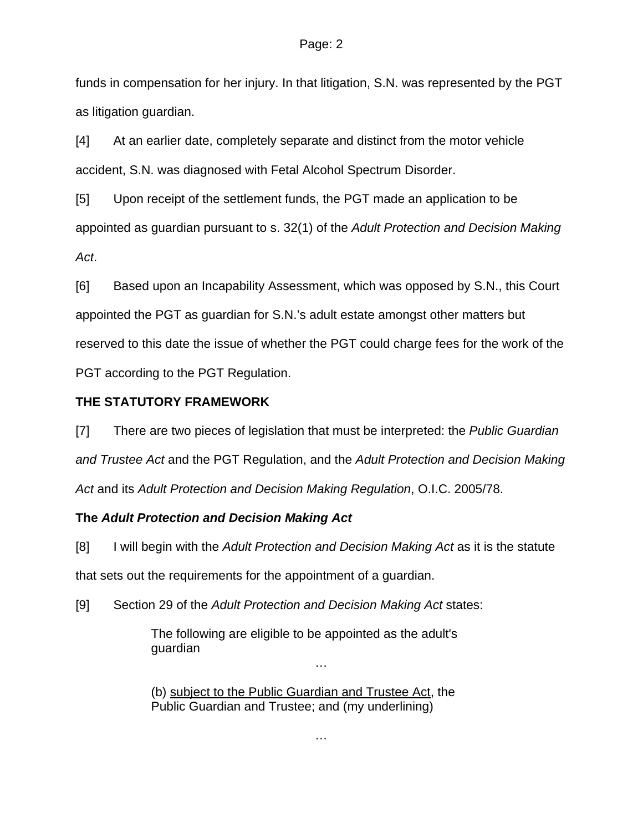#### Page: 2

funds in compensation for her injury. In that litigation, S.N. was represented by the PGT as litigation guardian.

[4] At an earlier date, completely separate and distinct from the motor vehicle accident, S.N. was diagnosed with Fetal Alcohol Spectrum Disorder.

[5] Upon receipt of the settlement funds, the PGT made an application to be appointed as guardian pursuant to s. 32(1) of the *Adult Protection and Decision Making Act*.

[6] Based upon an Incapability Assessment, which was opposed by S.N., this Court appointed the PGT as guardian for S.N.'s adult estate amongst other matters but reserved to this date the issue of whether the PGT could charge fees for the work of the PGT according to the PGT Regulation.

### **THE STATUTORY FRAMEWORK**

[7] There are two pieces of legislation that must be interpreted: the *Public Guardian and Trustee Act* and the PGT Regulation, and the *Adult Protection and Decision Making Act* and its *Adult Protection and Decision Making Regulation*, O.I.C. 2005/78.

## **The** *Adult Protection and Decision Making Act*

[8] I will begin with the *Adult Protection and Decision Making Act* as it is the statute that sets out the requirements for the appointment of a guardian.

[9] Section 29 of the *Adult Protection and Decision Making Act* states:

The following are eligible to be appointed as the adult's guardian

(b) subject to the Public Guardian and Trustee Act, the Public Guardian and Trustee; and (my underlining)

…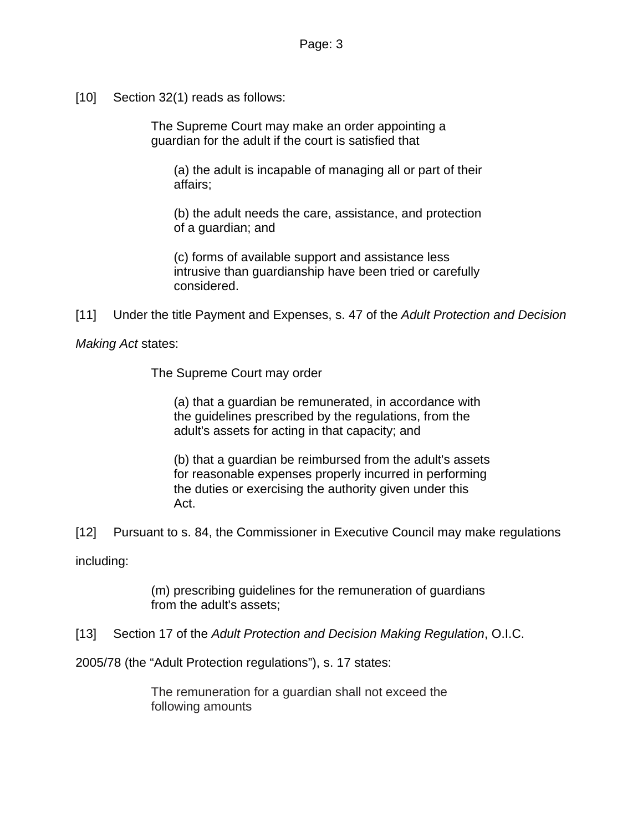[10] Section 32(1) reads as follows:

The Supreme Court may make an order appointing a guardian for the adult if the court is satisfied that

(a) the adult is incapable of managing all or part of their affairs;

(b) the adult needs the care, assistance, and protection of a guardian; and

(c) forms of available support and assistance less intrusive than guardianship have been tried or carefully considered.

[11] Under the title Payment and Expenses, s. 47 of the *Adult Protection and Decision* 

*Making Act* states:

The Supreme Court may order

(a) that a guardian be remunerated, in accordance with the guidelines prescribed by the regulations, from the adult's assets for acting in that capacity; and

(b) that a guardian be reimbursed from the adult's assets for reasonable expenses properly incurred in performing the duties or exercising the authority given under this Act.

[12] Pursuant to s. 84, the Commissioner in Executive Council may make regulations

including:

(m) prescribing guidelines for the remuneration of guardians from the adult's assets;

[13] Section 17 of the *Adult Protection and Decision Making Regulation*, O.I.C.

2005/78 (the "Adult Protection regulations"), s. 17 states:

The remuneration for a guardian shall not exceed the following amounts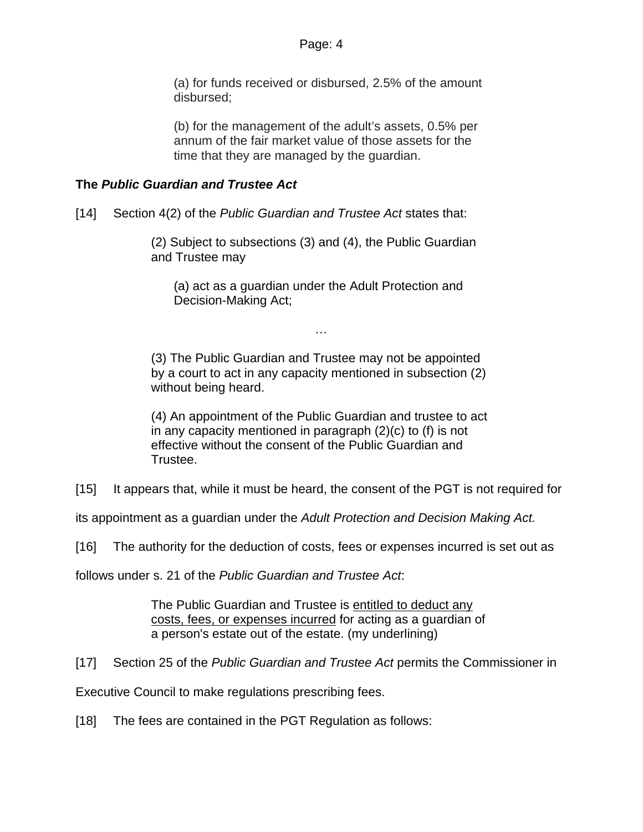(a) for funds received or disbursed, 2.5% of the amount disbursed;

(b) for the management of the adult's assets, 0.5% per annum of the fair market value of those assets for the time that they are managed by the guardian.

### **The** *Public Guardian and Trustee Act*

[14] Section 4(2) of the *Public Guardian and Trustee Act* states that:

(2) Subject to subsections (3) and (4), the Public Guardian and Trustee may

(a) act as a guardian under the Adult Protection and Decision-Making Act;

…

(3) The Public Guardian and Trustee may not be appointed by a court to act in any capacity mentioned in subsection (2) without being heard.

(4) An appointment of the Public Guardian and trustee to act in any capacity mentioned in paragraph (2)(c) to (f) is not effective without the consent of the Public Guardian and Trustee.

[15] It appears that, while it must be heard, the consent of the PGT is not required for

its appointment as a guardian under the *Adult Protection and Decision Making Act.*

[16] The authority for the deduction of costs, fees or expenses incurred is set out as

follows under s. 21 of the *Public Guardian and Trustee Act*:

The Public Guardian and Trustee is entitled to deduct any costs, fees, or expenses incurred for acting as a guardian of a person's estate out of the estate. (my underlining)

[17] Section 25 of the *Public Guardian and Trustee Act* permits the Commissioner in

Executive Council to make regulations prescribing fees.

[18] The fees are contained in the PGT Regulation as follows: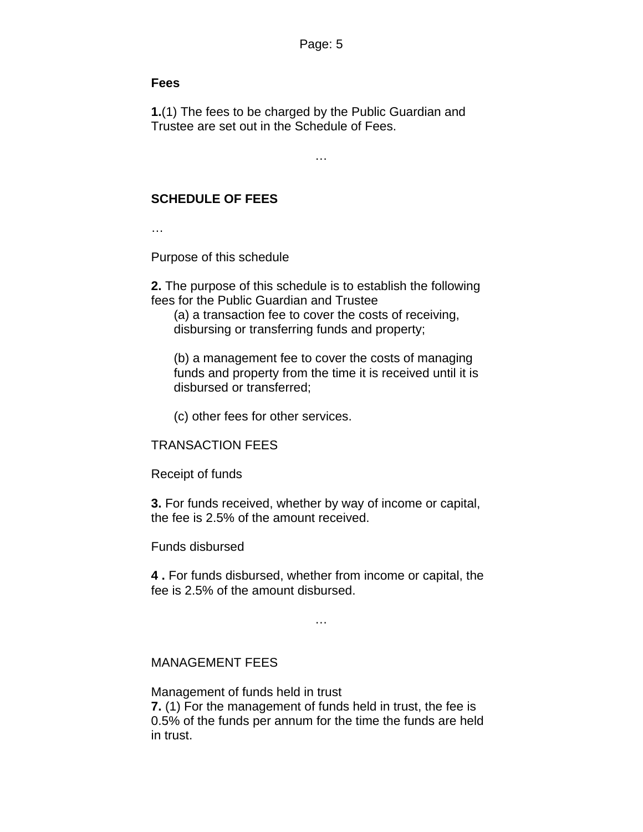#### **Fees**

**1.**(1) The fees to be charged by the Public Guardian and Trustee are set out in the Schedule of Fees.

…

# **SCHEDULE OF FEES**

…

Purpose of this schedule

**2.** The purpose of this schedule is to establish the following fees for the Public Guardian and Trustee

(a) a transaction fee to cover the costs of receiving, disbursing or transferring funds and property;

(b) a management fee to cover the costs of managing funds and property from the time it is received until it is disbursed or transferred;

(c) other fees for other services.

#### TRANSACTION FEES

Receipt of funds

**3.** For funds received, whether by way of income or capital, the fee is 2.5% of the amount received.

Funds disbursed

**4 .** For funds disbursed, whether from income or capital, the fee is 2.5% of the amount disbursed.

…

#### MANAGEMENT FEES

Management of funds held in trust **7.** (1) For the management of funds held in trust, the fee is 0.5% of the funds per annum for the time the funds are held in trust.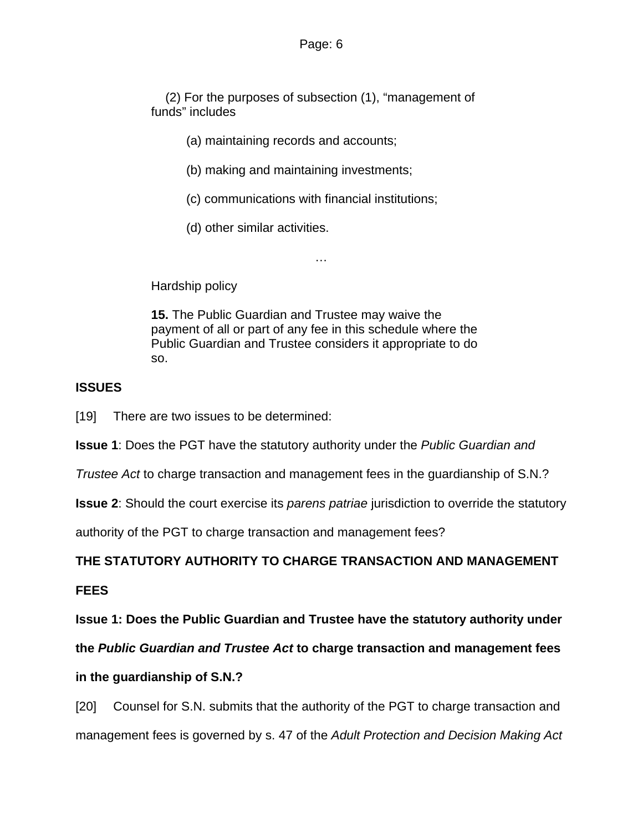(2) For the purposes of subsection (1), "management of funds" includes

- (a) maintaining records and accounts;
- (b) making and maintaining investments;
- (c) communications with financial institutions;

…

(d) other similar activities.

Hardship policy

**15.** The Public Guardian and Trustee may waive the payment of all or part of any fee in this schedule where the Public Guardian and Trustee considers it appropriate to do so.

## **ISSUES**

[19] There are two issues to be determined:

**Issue 1**: Does the PGT have the statutory authority under the *Public Guardian and* 

*Trustee Act* to charge transaction and management fees in the guardianship of S.N.?

**Issue 2**: Should the court exercise its *parens patriae* jurisdiction to override the statutory

authority of the PGT to charge transaction and management fees?

## **THE STATUTORY AUTHORITY TO CHARGE TRANSACTION AND MANAGEMENT**

**FEES** 

**Issue 1: Does the Public Guardian and Trustee have the statutory authority under** 

**the** *Public Guardian and Trustee Act* **to charge transaction and management fees** 

#### **in the guardianship of S.N.?**

[20] Counsel for S.N. submits that the authority of the PGT to charge transaction and management fees is governed by s. 47 of the *Adult Protection and Decision Making Act*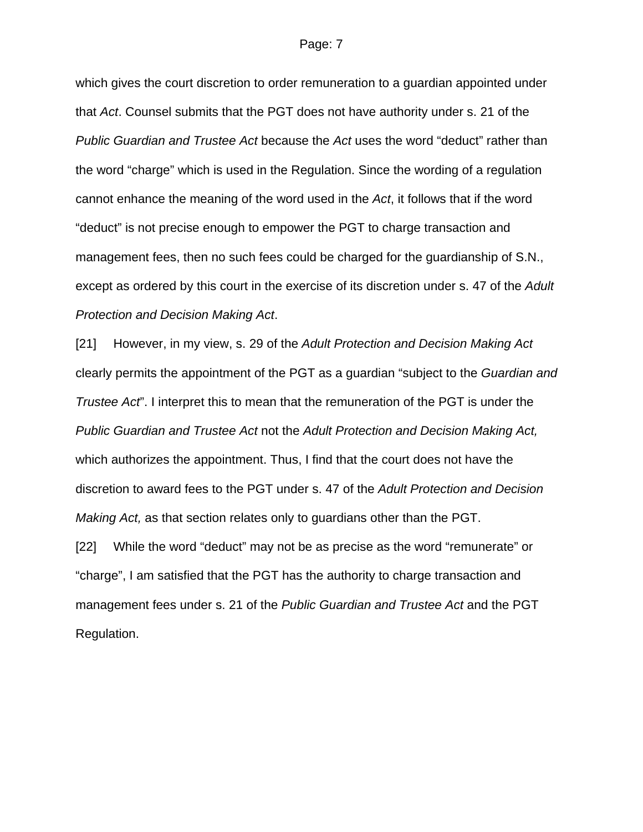#### Page: 7

which gives the court discretion to order remuneration to a guardian appointed under that *Act*. Counsel submits that the PGT does not have authority under s. 21 of the *Public Guardian and Trustee Act* because the *Act* uses the word "deduct" rather than the word "charge" which is used in the Regulation. Since the wording of a regulation cannot enhance the meaning of the word used in the *Act*, it follows that if the word "deduct" is not precise enough to empower the PGT to charge transaction and management fees, then no such fees could be charged for the guardianship of S.N., except as ordered by this court in the exercise of its discretion under s. 47 of the *Adult Protection and Decision Making Act*.

[21] However, in my view, s. 29 of the *Adult Protection and Decision Making Act* clearly permits the appointment of the PGT as a guardian "subject to the *Guardian and Trustee Act*". I interpret this to mean that the remuneration of the PGT is under the *Public Guardian and Trustee Act* not the *Adult Protection and Decision Making Act,* which authorizes the appointment. Thus, I find that the court does not have the discretion to award fees to the PGT under s. 47 of the *Adult Protection and Decision Making Act,* as that section relates only to guardians other than the PGT.

[22] While the word "deduct" may not be as precise as the word "remunerate" or "charge", I am satisfied that the PGT has the authority to charge transaction and management fees under s. 21 of the *Public Guardian and Trustee Act* and the PGT Regulation.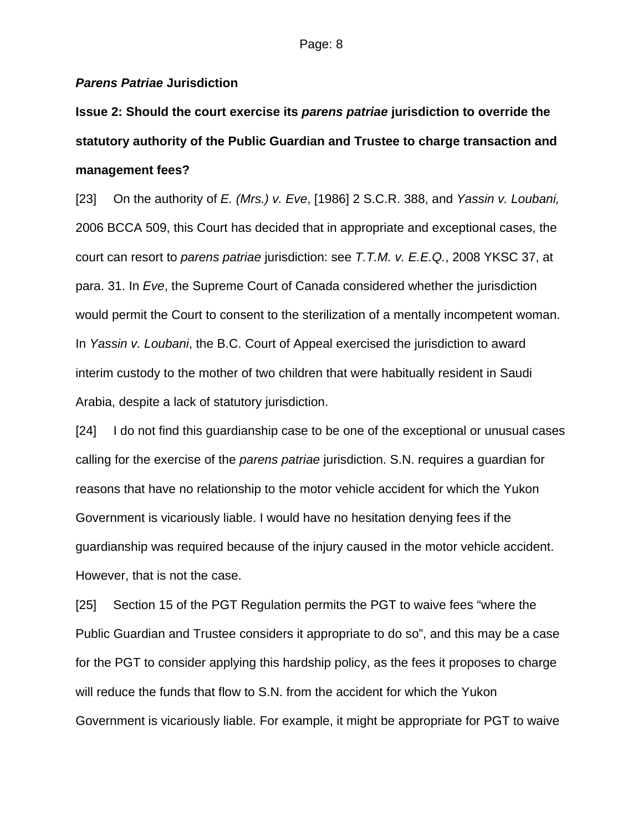#### *Parens Patriae* **Jurisdiction**

**Issue 2: Should the court exercise its** *parens patriae* **jurisdiction to override the statutory authority of the Public Guardian and Trustee to charge transaction and management fees?** 

[23] On the authority of *E. (Mrs.) v. Eve*, [1986] 2 S.C.R. 388, and *Yassin v. Loubani,*  2006 BCCA 509, this Court has decided that in appropriate and exceptional cases, the court can resort to *parens patriae* jurisdiction: see *T.T.M. v. E.E.Q.*, 2008 YKSC 37, at para. 31. In *Eve*, the Supreme Court of Canada considered whether the jurisdiction would permit the Court to consent to the sterilization of a mentally incompetent woman. In *Yassin v. Loubani*, the B.C. Court of Appeal exercised the jurisdiction to award interim custody to the mother of two children that were habitually resident in Saudi Arabia, despite a lack of statutory jurisdiction.

[24] I do not find this guardianship case to be one of the exceptional or unusual cases calling for the exercise of the *parens patriae* jurisdiction. S.N. requires a guardian for reasons that have no relationship to the motor vehicle accident for which the Yukon Government is vicariously liable. I would have no hesitation denying fees if the guardianship was required because of the injury caused in the motor vehicle accident. However, that is not the case.

[25] Section 15 of the PGT Regulation permits the PGT to waive fees "where the Public Guardian and Trustee considers it appropriate to do so", and this may be a case for the PGT to consider applying this hardship policy, as the fees it proposes to charge will reduce the funds that flow to S.N. from the accident for which the Yukon Government is vicariously liable. For example, it might be appropriate for PGT to waive